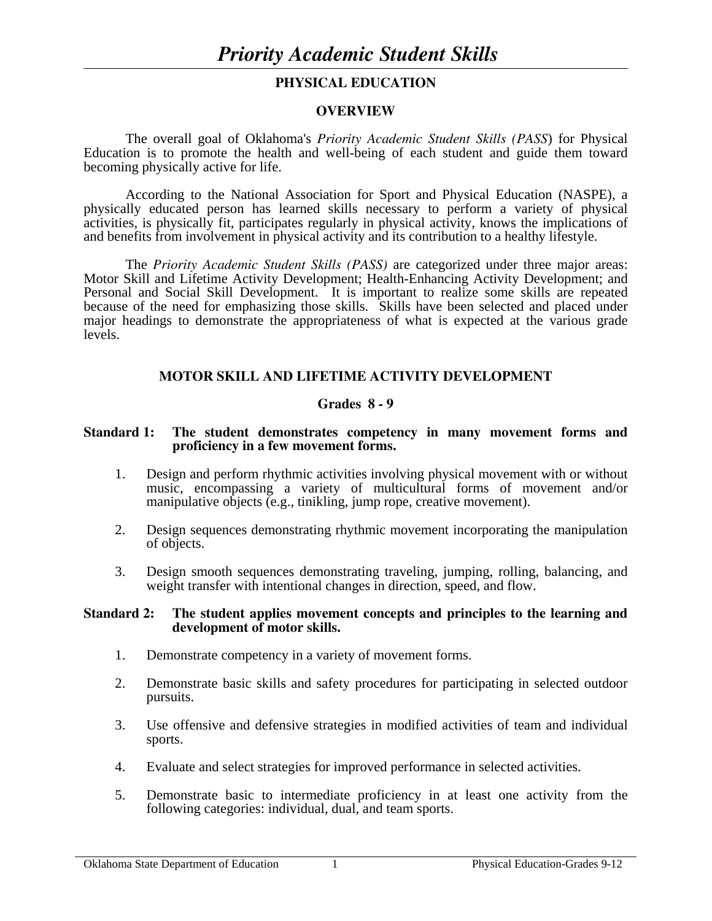## **PHYSICAL EDUCATION**

## **OVERVIEW**

The overall goal of Oklahoma's *Priority Academic Student Skills (PASS*) for Physical Education is to promote the health and well-being of each student and guide them toward becoming physically active for life.

 According to the National Association for Sport and Physical Education (NASPE), a physically educated person has learned skills necessary to perform a variety of physical activities, is physically fit, participates regularly in physical activity, knows the implications of and benefits from involvement in physical activity and its contribution to a healthy lifestyle.

 The *Priority Academic Student Skills (PASS)* are categorized under three major areas: Motor Skill and Lifetime Activity Development; Health-Enhancing Activity Development; and Personal and Social Skill Development. It is important to realize some skills are repeated because of the need for emphasizing those skills. Skills have been selected and placed under major headings to demonstrate the appropriateness of what is expected at the various grade levels.

## **MOTOR SKILL AND LIFETIME ACTIVITY DEVELOPMENT**

## **Grades 8 - 9**

#### **Standard 1: The student demonstrates competency in many movement forms and proficiency in a few movement forms.**

- 1. Design and perform rhythmic activities involving physical movement with or without music, encompassing a variety of multicultural forms of movement and/or manipulative objects (e.g., tinikling, jump rope, creative movement).
- 2. Design sequences demonstrating rhythmic movement incorporating the manipulation of objects.
- 3. Design smooth sequences demonstrating traveling, jumping, rolling, balancing, and weight transfer with intentional changes in direction, speed, and flow.

#### **Standard 2: The student applies movement concepts and principles to the learning and development of motor skills.**

- 1. Demonstrate competency in a variety of movement forms.
- 2. Demonstrate basic skills and safety procedures for participating in selected outdoor pursuits.
- 3. Use offensive and defensive strategies in modified activities of team and individual sports.
- 4. Evaluate and select strategies for improved performance in selected activities.
- 5. Demonstrate basic to intermediate proficiency in at least one activity from the following categories: individual, dual, and team sports.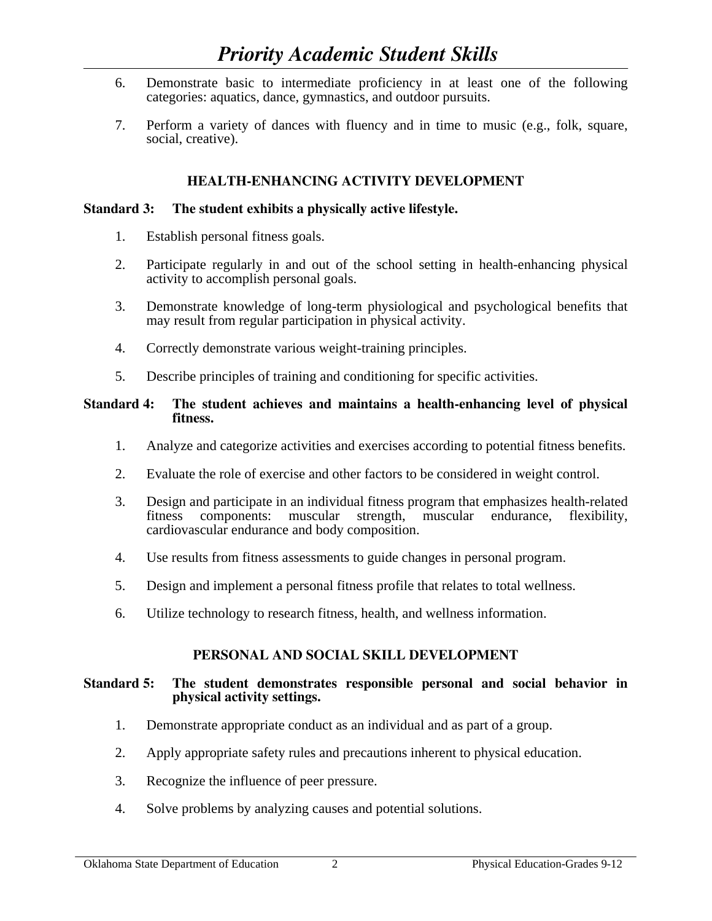# *Priority Academic Student Skills*

- 6. Demonstrate basic to intermediate proficiency in at least one of the following categories: aquatics, dance, gymnastics, and outdoor pursuits.
- 7. Perform a variety of dances with fluency and in time to music (e.g., folk, square, social, creative).

## **HEALTH-ENHANCING ACTIVITY DEVELOPMENT**

## **Standard 3: The student exhibits a physically active lifestyle.**

- 1. Establish personal fitness goals.
- 2. Participate regularly in and out of the school setting in health-enhancing physical activity to accomplish personal goals.
- 3. Demonstrate knowledge of long-term physiological and psychological benefits that may result from regular participation in physical activity.
- 4. Correctly demonstrate various weight-training principles.
- 5. Describe principles of training and conditioning for specific activities.

## **Standard 4: The student achieves and maintains a health-enhancing level of physical fitness.**

- 1. Analyze and categorize activities and exercises according to potential fitness benefits.
- 2. Evaluate the role of exercise and other factors to be considered in weight control.
- 3. Design and participate in an individual fitness program that emphasizes health-related fitness components: muscular strength, muscular endurance, flexibility, cardiovascular endurance and body composition.<br>4. Use results from fitness assessments to guide cha
- Use results from fitness assessments to guide changes in personal program.
- 5. Design and implement a personal fitness profile that relates to total wellness.
- 6. Utilize technology to research fitness, health, and wellness information.

## **PERSONAL AND SOCIAL SKILL DEVELOPMENT**

## **Standard 5: The student demonstrates responsible personal and social behavior in physical activity settings.**

- 1. Demonstrate appropriate conduct as an individual and as part of a group.
- 2. Apply appropriate safety rules and precautions inherent to physical education.
- 3. Recognize the influence of peer pressure.
- 4. Solve problems by analyzing causes and potential solutions.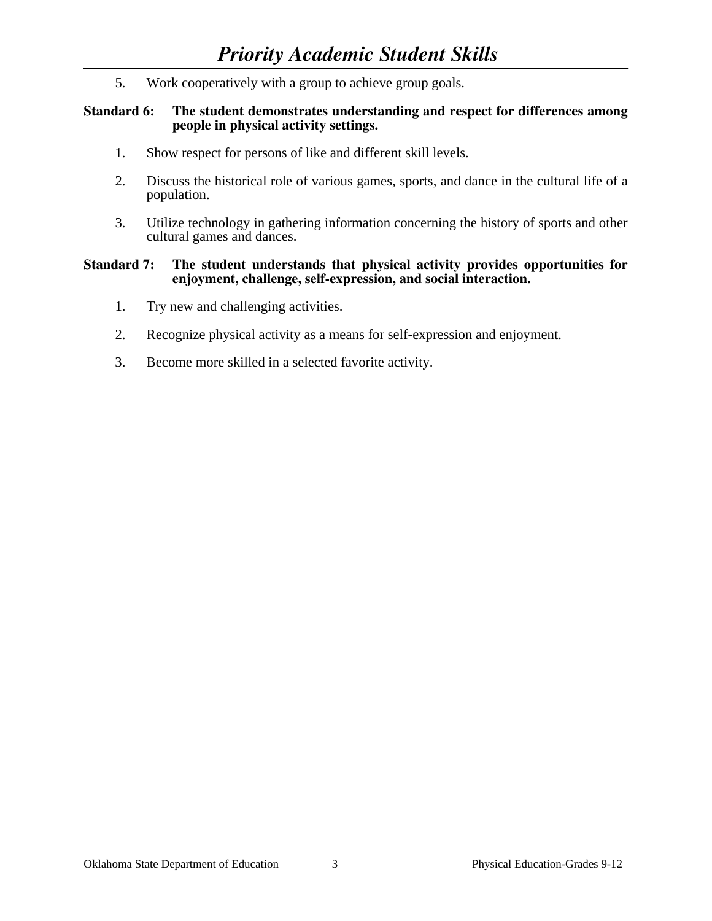5. Work cooperatively with a group to achieve group goals.

## **Standard 6: The student demonstrates understanding and respect for differences among people in physical activity settings.**

- 1. Show respect for persons of like and different skill levels.
- 2. Discuss the historical role of various games, sports, and dance in the cultural life of a population.
- 3. Utilize technology in gathering information concerning the history of sports and other cultural games and dances.

#### **Standard 7: The student understands that physical activity provides opportunities for enjoyment, challenge, self-expression, and social interaction.**

- 1. Try new and challenging activities.
- 2. Recognize physical activity as a means for self-expression and enjoyment.
- 3. Become more skilled in a selected favorite activity.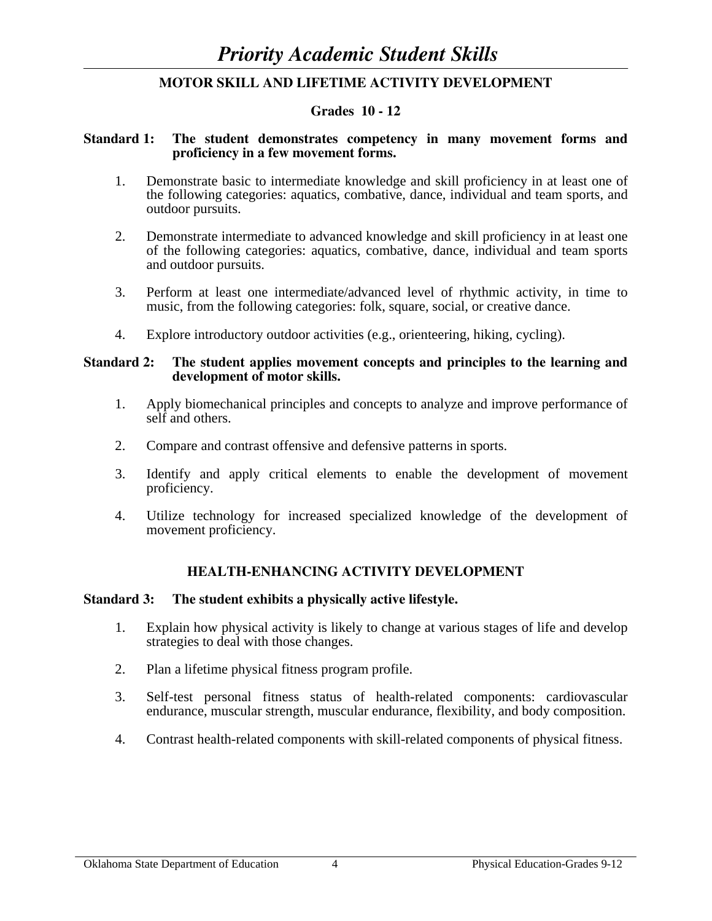## **MOTOR SKILL AND LIFETIME ACTIVITY DEVELOPMENT**

## **Grades 10 - 12**

## **Standard 1: The student demonstrates competency in many movement forms and proficiency in a few movement forms.**

- 1. Demonstrate basic to intermediate knowledge and skill proficiency in at least one of the following categories: aquatics, combative, dance, individual and team sports, and outdoor pursuits.
- 2. Demonstrate intermediate to advanced knowledge and skill proficiency in at least one of the following categories: aquatics, combative, dance, individual and team sports and outdoor pursuits.
- 3. Perform at least one intermediate/advanced level of rhythmic activity, in time to music, from the following categories: folk, square, social, or creative dance.
- 4. Explore introductory outdoor activities (e.g., orienteering, hiking, cycling).

#### **Standard 2: The student applies movement concepts and principles to the learning and development of motor skills.**

- 1. Apply biomechanical principles and concepts to analyze and improve performance of self and others.
- 2. Compare and contrast offensive and defensive patterns in sports.
- 3. Identify and apply critical elements to enable the development of movement proficiency.
- 4. Utilize technology for increased specialized knowledge of the development of movement proficiency.

## **HEALTH-ENHANCING ACTIVITY DEVELOPMENT**

## **Standard 3: The student exhibits a physically active lifestyle.**

- 1. Explain how physical activity is likely to change at various stages of life and develop strategies to deal with those changes.
- 2. Plan a lifetime physical fitness program profile.
- 3. Self-test personal fitness status of health-related components: cardiovascular endurance, muscular strength, muscular endurance, flexibility, and body composition.
- 4. Contrast health-related components with skill-related components of physical fitness.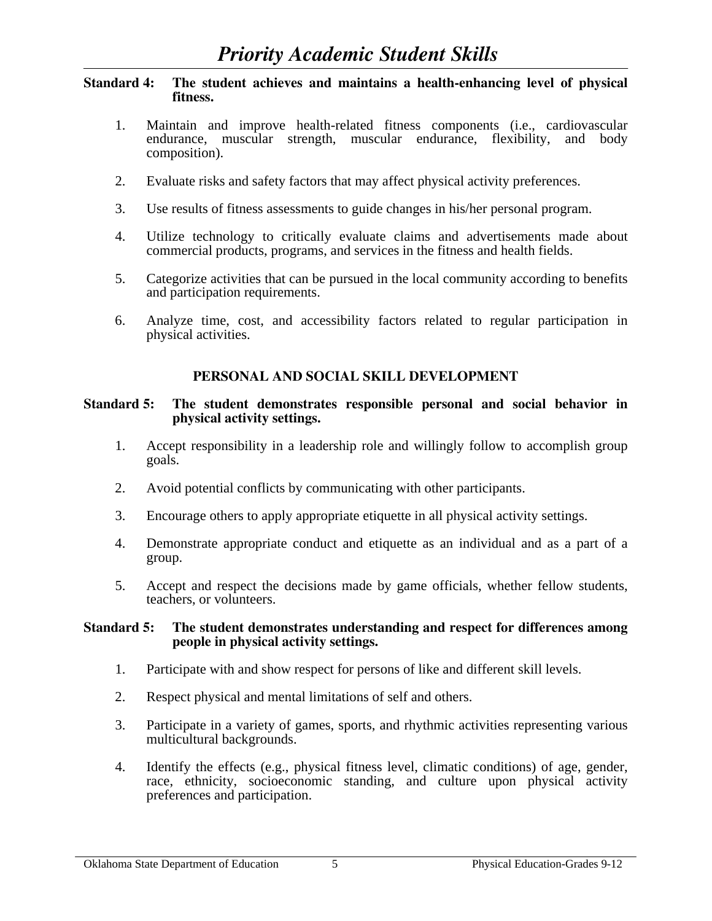## **Standard 4: The student achieves and maintains a health-enhancing level of physical fitness.**

- 1. Maintain and improve health-related fitness components (i.e., cardiovascular endurance, muscular strength, muscular endurance, flexibility, and body composition).
- 2. Evaluate risks and safety factors that may affect physical activity preferences.
- 3. Use results of fitness assessments to guide changes in his/her personal program.
- 4. Utilize technology to critically evaluate claims and advertisements made about commercial products, programs, and services in the fitness and health fields.
- 5. Categorize activities that can be pursued in the local community according to benefits and participation requirements.
- 6. Analyze time, cost, and accessibility factors related to regular participation in physical activities.

## **PERSONAL AND SOCIAL SKILL DEVELOPMENT**

## **Standard 5: The student demonstrates responsible personal and social behavior in physical activity settings.**

- 1. Accept responsibility in a leadership role and willingly follow to accomplish group goals.
- 2. Avoid potential conflicts by communicating with other participants.
- 3. Encourage others to apply appropriate etiquette in all physical activity settings.
- 4. Demonstrate appropriate conduct and etiquette as an individual and as a part of a group.
- 5. Accept and respect the decisions made by game officials, whether fellow students, teachers, or volunteers.

## **Standard 5: The student demonstrates understanding and respect for differences among people in physical activity settings.**

- 1. Participate with and show respect for persons of like and different skill levels.
- 2. Respect physical and mental limitations of self and others.
- 3. Participate in a variety of games, sports, and rhythmic activities representing various multicultural backgrounds.
- 4. Identify the effects (e.g., physical fitness level, climatic conditions) of age, gender, race, ethnicity, socioeconomic standing, and culture upon physical activity preferences and participation.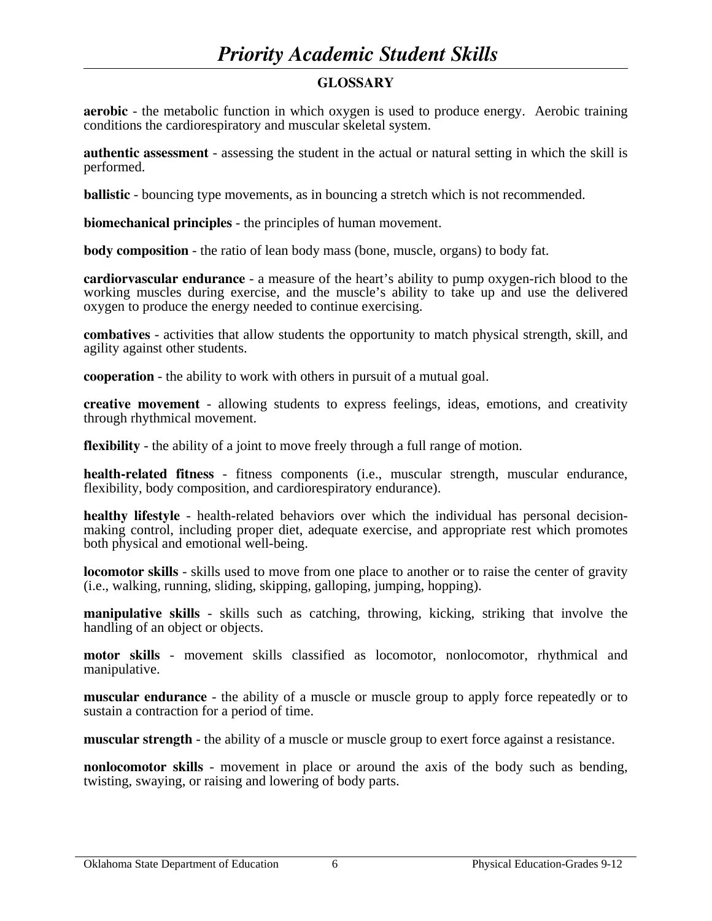# *Priority Academic Student Skills*

## **GLOSSARY**

**aerobic** - the metabolic function in which oxygen is used to produce energy. Aerobic training conditions the cardiorespiratory and muscular skeletal system.

**authentic assessment** - assessing the student in the actual or natural setting in which the skill is performed.

**ballistic** - bouncing type movements, as in bouncing a stretch which is not recommended.

**biomechanical principles** - the principles of human movement.

**body composition** - the ratio of lean body mass (bone, muscle, organs) to body fat.

**cardiorvascular endurance** - a measure of the heart's ability to pump oxygen-rich blood to the working muscles during exercise, and the muscle's ability to take up and use the delivered oxygen to produce the energy needed to continue exercising.

**combatives** - activities that allow students the opportunity to match physical strength, skill, and agility against other students.

**cooperation** - the ability to work with others in pursuit of a mutual goal.

**creative movement** - allowing students to express feelings, ideas, emotions, and creativity through rhythmical movement.

**flexibility** - the ability of a joint to move freely through a full range of motion.

**health-related fitness** - fitness components (i.e., muscular strength, muscular endurance, flexibility, body composition, and cardiorespiratory endurance).

**healthy lifestyle** - health-related behaviors over which the individual has personal decisionmaking control, including proper diet, adequate exercise, and appropriate rest which promotes both physical and emotional well-being.

**locomotor skills** - skills used to move from one place to another or to raise the center of gravity (i.e., walking, running, sliding, skipping, galloping, jumping, hopping).

**manipulative skills** - skills such as catching, throwing, kicking, striking that involve the handling of an object or objects.

**motor skills** - movement skills classified as locomotor, nonlocomotor, rhythmical and manipulative.

**muscular endurance** - the ability of a muscle or muscle group to apply force repeatedly or to sustain a contraction for a period of time.

**muscular strength** - the ability of a muscle or muscle group to exert force against a resistance.

**nonlocomotor skills** - movement in place or around the axis of the body such as bending, twisting, swaying, or raising and lowering of body parts.